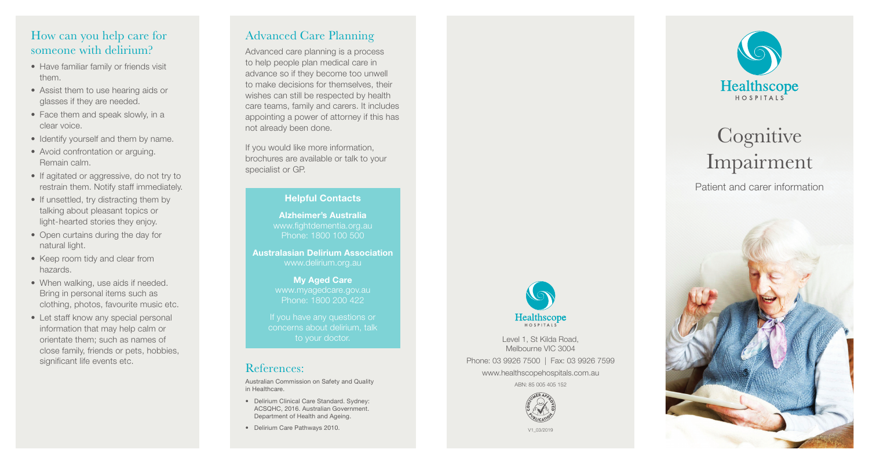## How can you help care for someone with delirium?

- Have familiar family or friends visit them.
- Assist them to use hearing aids or glasses if they are needed.
- Face them and speak slowly, in a clear voice.
- Identify yourself and them by name.
- Avoid confrontation or arguing. Remain calm.
- If agitated or aggressive, do not try to restrain them. Notify staff immediately.
- If unsettled, try distracting them by talking about pleasant topics or light-hearted stories they enjoy.
- Open curtains during the day for natural light.
- Keep room tidy and clear from hazards.
- When walking, use aids if needed. Bring in personal items such as clothing, photos, favourite music etc.
- Let staff know any special personal information that may help calm or orientate them; such as names of close family, friends or pets, hobbies, significant life events etc.

# Advanced Care Planning

Advanced care planning is a process to help people plan medical care in advance so if they become too unwell to make decisions for themselves, their wishes can still be respected by health care teams, family and carers. It includes appointing a power of attorney if this has not already been done.

If you would like more information, brochures are available or talk to your specialist or GP.

#### Helpful Contacts

Alzheimer's Australia www.fightdementia.org.au Phone: 1800 100 500

Australasian Delirium Association www.delirium.org.au

> My Aged Care www.myagedcare.gov.au Phone: 1800 200 422

concerns about delirium, talk to your doctor.

## References:

Australian Commission on Safety and Quality in Healthcare.

- Delirium Clinical Care Standard. Sydney: ACSQHC, 2016. Australian Government. Department of Health and Ageing.
- Delirium Care Pathways 2010.



Healthscope

Level 1, St Kilda Road, Melbourne VIC 3004 Phone: 03 9926 7500 | Fax: 03 9926 7599 www.healthscopehospitals.com.au

ABN: 85 005 405 152



V1\_03/2019



# **Cognitive** Impairment

Patient and carer information